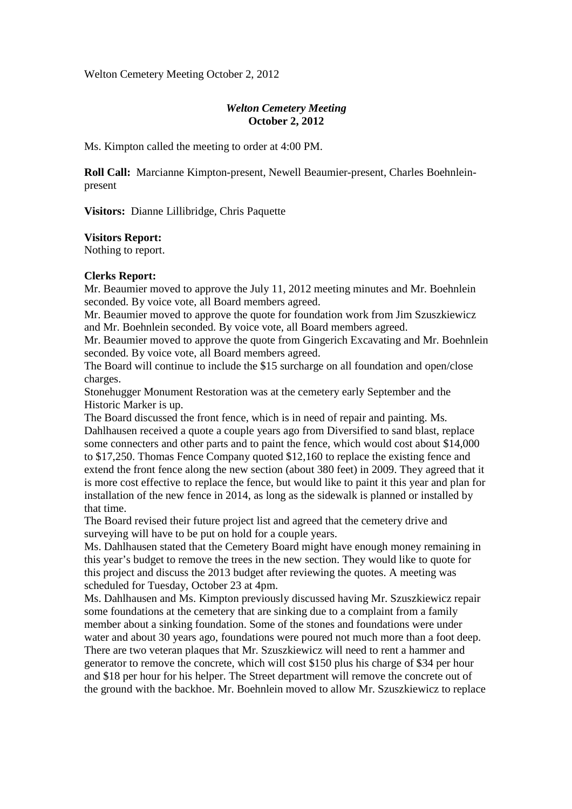Welton Cemetery Meeting October 2, 2012

# *Welton Cemetery Meeting*  **October 2, 2012**

Ms. Kimpton called the meeting to order at 4:00 PM.

**Roll Call:** Marcianne Kimpton-present, Newell Beaumier-present, Charles Boehnleinpresent

**Visitors:** Dianne Lillibridge, Chris Paquette

## **Visitors Report:**

Nothing to report.

#### **Clerks Report:**

Mr. Beaumier moved to approve the July 11, 2012 meeting minutes and Mr. Boehnlein seconded. By voice vote, all Board members agreed.

Mr. Beaumier moved to approve the quote for foundation work from Jim Szuszkiewicz and Mr. Boehnlein seconded. By voice vote, all Board members agreed.

Mr. Beaumier moved to approve the quote from Gingerich Excavating and Mr. Boehnlein seconded. By voice vote, all Board members agreed.

The Board will continue to include the \$15 surcharge on all foundation and open/close charges.

Stonehugger Monument Restoration was at the cemetery early September and the Historic Marker is up.

The Board discussed the front fence, which is in need of repair and painting. Ms. Dahlhausen received a quote a couple years ago from Diversified to sand blast, replace some connecters and other parts and to paint the fence, which would cost about \$14,000 to \$17,250. Thomas Fence Company quoted \$12,160 to replace the existing fence and extend the front fence along the new section (about 380 feet) in 2009. They agreed that it is more cost effective to replace the fence, but would like to paint it this year and plan for installation of the new fence in 2014, as long as the sidewalk is planned or installed by that time.

The Board revised their future project list and agreed that the cemetery drive and surveying will have to be put on hold for a couple years.

Ms. Dahlhausen stated that the Cemetery Board might have enough money remaining in this year's budget to remove the trees in the new section. They would like to quote for this project and discuss the 2013 budget after reviewing the quotes. A meeting was scheduled for Tuesday, October 23 at 4pm.

Ms. Dahlhausen and Ms. Kimpton previously discussed having Mr. Szuszkiewicz repair some foundations at the cemetery that are sinking due to a complaint from a family member about a sinking foundation. Some of the stones and foundations were under water and about 30 years ago, foundations were poured not much more than a foot deep. There are two veteran plaques that Mr. Szuszkiewicz will need to rent a hammer and generator to remove the concrete, which will cost \$150 plus his charge of \$34 per hour and \$18 per hour for his helper. The Street department will remove the concrete out of the ground with the backhoe. Mr. Boehnlein moved to allow Mr. Szuszkiewicz to replace